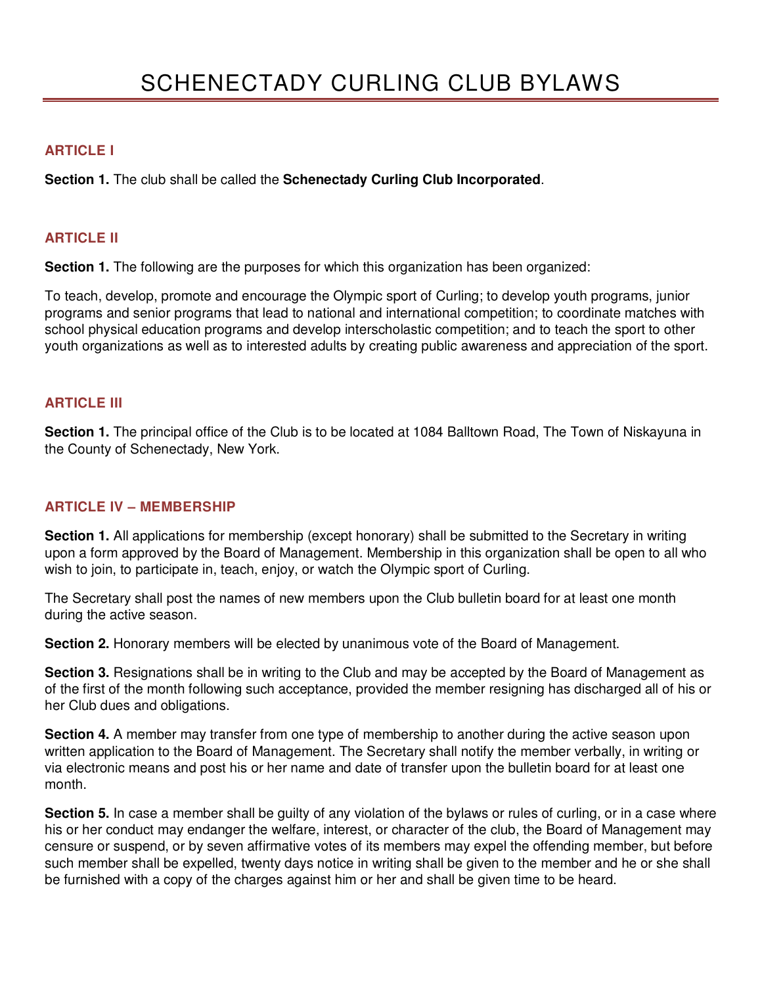## **ARTICLE I**

**Section 1.** The club shall be called the **Schenectady Curling Club Incorporated**.

## **ARTICLE II**

**Section 1.** The following are the purposes for which this organization has been organized:

To teach, develop, promote and encourage the Olympic sport of Curling; to develop youth programs, junior programs and senior programs that lead to national and international competition; to coordinate matches with school physical education programs and develop interscholastic competition; and to teach the sport to other youth organizations as well as to interested adults by creating public awareness and appreciation of the sport.

### **ARTICLE III**

**Section 1.** The principal office of the Club is to be located at 1084 Balltown Road, The Town of Niskayuna in the County of Schenectady, New York.

### **ARTICLE IV – MEMBERSHIP**

**Section 1.** All applications for membership (except honorary) shall be submitted to the Secretary in writing upon a form approved by the Board of Management. Membership in this organization shall be open to all who wish to join, to participate in, teach, enjoy, or watch the Olympic sport of Curling.

The Secretary shall post the names of new members upon the Club bulletin board for at least one month during the active season.

**Section 2.** Honorary members will be elected by unanimous vote of the Board of Management.

**Section 3.** Resignations shall be in writing to the Club and may be accepted by the Board of Management as of the first of the month following such acceptance, provided the member resigning has discharged all of his or her Club dues and obligations.

**Section 4.** A member may transfer from one type of membership to another during the active season upon written application to the Board of Management. The Secretary shall notify the member verbally, in writing or via electronic means and post his or her name and date of transfer upon the bulletin board for at least one month.

**Section 5.** In case a member shall be guilty of any violation of the bylaws or rules of curling, or in a case where his or her conduct may endanger the welfare, interest, or character of the club, the Board of Management may censure or suspend, or by seven affirmative votes of its members may expel the offending member, but before such member shall be expelled, twenty days notice in writing shall be given to the member and he or she shall be furnished with a copy of the charges against him or her and shall be given time to be heard.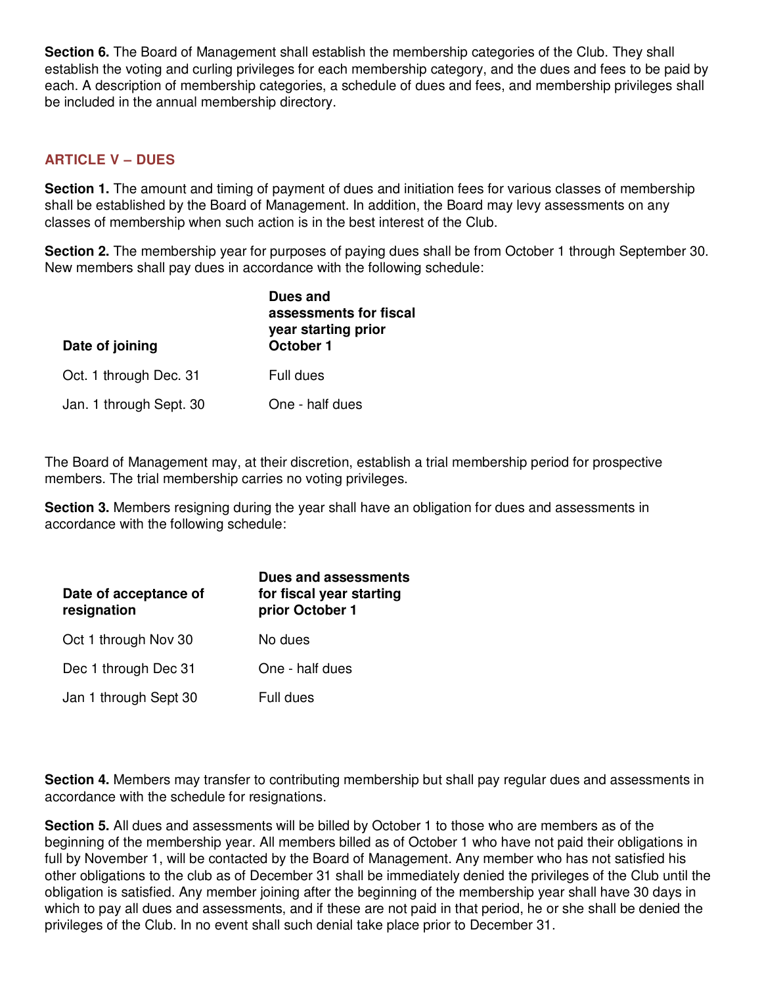**Section 6.** The Board of Management shall establish the membership categories of the Club. They shall establish the voting and curling privileges for each membership category, and the dues and fees to be paid by each. A description of membership categories, a schedule of dues and fees, and membership privileges shall be included in the annual membership directory.

# **ARTICLE V – DUES**

**Section 1.** The amount and timing of payment of dues and initiation fees for various classes of membership shall be established by the Board of Management. In addition, the Board may levy assessments on any classes of membership when such action is in the best interest of the Club.

**Section 2.** The membership year for purposes of paying dues shall be from October 1 through September 30. New members shall pay dues in accordance with the following schedule:

| Date of joining         | Dues and<br>assessments for fiscal<br>year starting prior<br>October 1 |
|-------------------------|------------------------------------------------------------------------|
| Oct. 1 through Dec. 31  | Full dues                                                              |
| Jan. 1 through Sept. 30 | One - half dues                                                        |

The Board of Management may, at their discretion, establish a trial membership period for prospective members. The trial membership carries no voting privileges.

**Section 3.** Members resigning during the year shall have an obligation for dues and assessments in accordance with the following schedule:

| Date of acceptance of<br>resignation | <b>Dues and assessments</b><br>for fiscal year starting<br>prior October 1 |
|--------------------------------------|----------------------------------------------------------------------------|
| Oct 1 through Nov 30                 | No dues                                                                    |
| Dec 1 through Dec 31                 | One - half dues                                                            |
| Jan 1 through Sept 30                | Full dues                                                                  |

**Section 4.** Members may transfer to contributing membership but shall pay regular dues and assessments in accordance with the schedule for resignations.

**Section 5.** All dues and assessments will be billed by October 1 to those who are members as of the beginning of the membership year. All members billed as of October 1 who have not paid their obligations in full by November 1, will be contacted by the Board of Management. Any member who has not satisfied his other obligations to the club as of December 31 shall be immediately denied the privileges of the Club until the obligation is satisfied. Any member joining after the beginning of the membership year shall have 30 days in which to pay all dues and assessments, and if these are not paid in that period, he or she shall be denied the privileges of the Club. In no event shall such denial take place prior to December 31.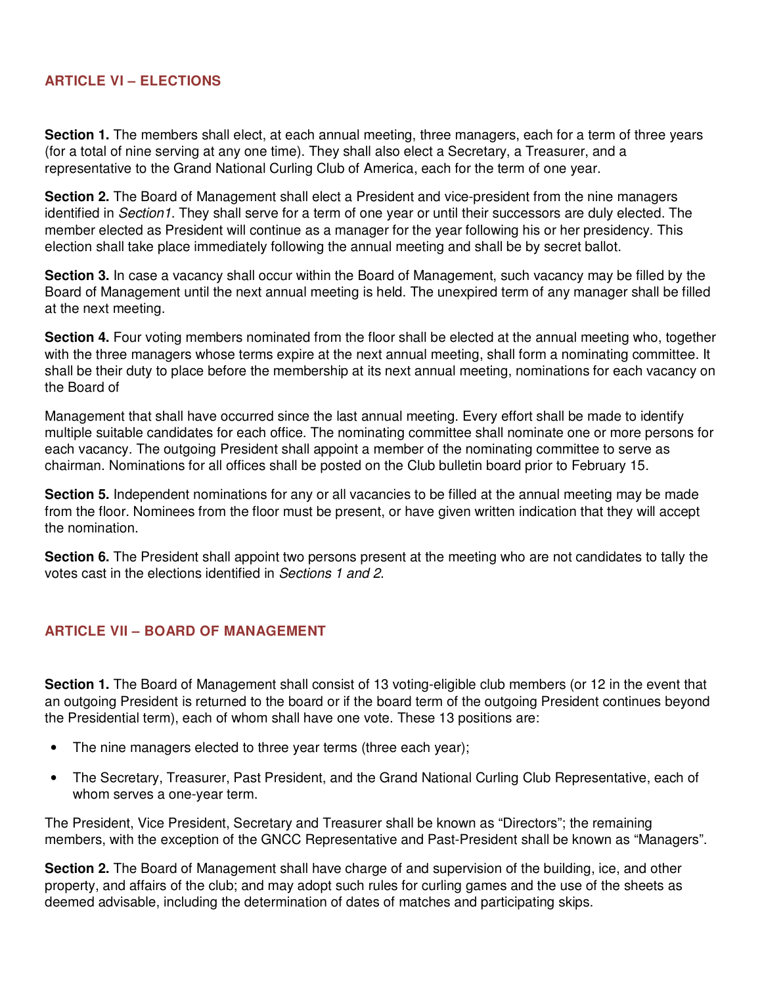## **ARTICLE VI – ELECTIONS**

**Section 1.** The members shall elect, at each annual meeting, three managers, each for a term of three years (for a total of nine serving at any one time). They shall also elect a Secretary, a Treasurer, and a representative to the Grand National Curling Club of America, each for the term of one year.

**Section 2.** The Board of Management shall elect a President and vice-president from the nine managers identified in Section1. They shall serve for a term of one year or until their successors are duly elected. The member elected as President will continue as a manager for the year following his or her presidency. This election shall take place immediately following the annual meeting and shall be by secret ballot.

**Section 3.** In case a vacancy shall occur within the Board of Management, such vacancy may be filled by the Board of Management until the next annual meeting is held. The unexpired term of any manager shall be filled at the next meeting.

**Section 4.** Four voting members nominated from the floor shall be elected at the annual meeting who, together with the three managers whose terms expire at the next annual meeting, shall form a nominating committee. It shall be their duty to place before the membership at its next annual meeting, nominations for each vacancy on the Board of

Management that shall have occurred since the last annual meeting. Every effort shall be made to identify multiple suitable candidates for each office. The nominating committee shall nominate one or more persons for each vacancy. The outgoing President shall appoint a member of the nominating committee to serve as chairman. Nominations for all offices shall be posted on the Club bulletin board prior to February 15.

**Section 5.** Independent nominations for any or all vacancies to be filled at the annual meeting may be made from the floor. Nominees from the floor must be present, or have given written indication that they will accept the nomination.

**Section 6.** The President shall appoint two persons present at the meeting who are not candidates to tally the votes cast in the elections identified in Sections 1 and 2.

## **ARTICLE VII – BOARD OF MANAGEMENT**

**Section 1.** The Board of Management shall consist of 13 voting-eligible club members (or 12 in the event that an outgoing President is returned to the board or if the board term of the outgoing President continues beyond the Presidential term), each of whom shall have one vote. These 13 positions are:

- The nine managers elected to three year terms (three each year);
- The Secretary, Treasurer, Past President, and the Grand National Curling Club Representative, each of whom serves a one-year term.

The President, Vice President, Secretary and Treasurer shall be known as "Directors"; the remaining members, with the exception of the GNCC Representative and Past-President shall be known as "Managers".

**Section 2.** The Board of Management shall have charge of and supervision of the building, ice, and other property, and affairs of the club; and may adopt such rules for curling games and the use of the sheets as deemed advisable, including the determination of dates of matches and participating skips.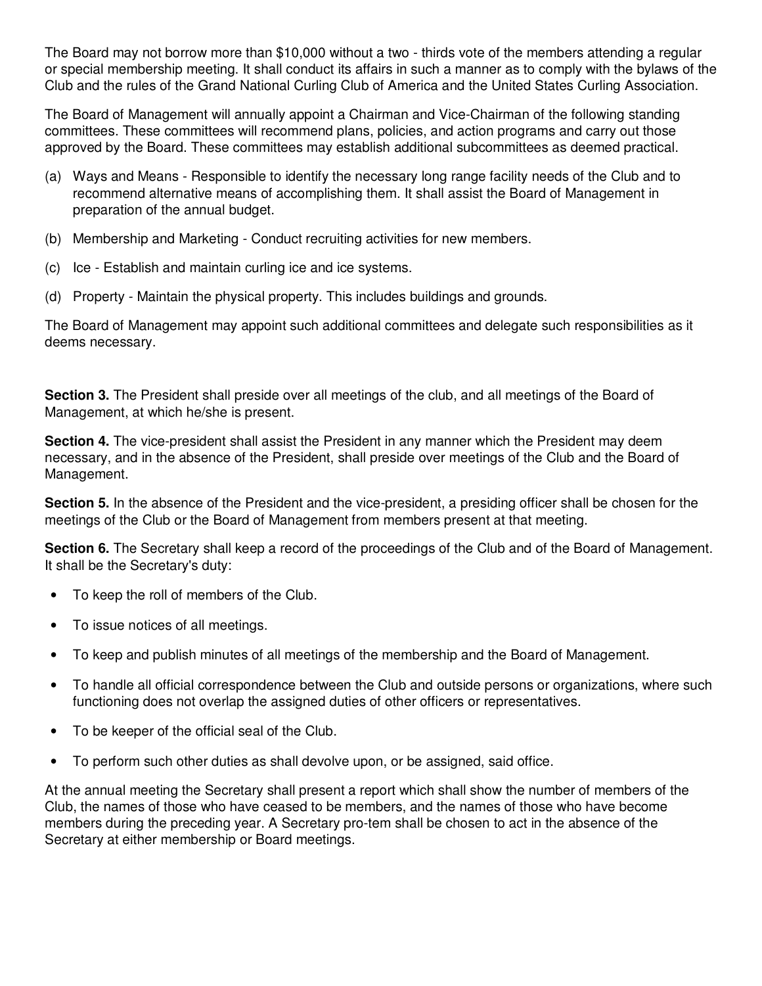The Board may not borrow more than \$10,000 without a two - thirds vote of the members attending a regular or special membership meeting. It shall conduct its affairs in such a manner as to comply with the bylaws of the Club and the rules of the Grand National Curling Club of America and the United States Curling Association.

The Board of Management will annually appoint a Chairman and Vice-Chairman of the following standing committees. These committees will recommend plans, policies, and action programs and carry out those approved by the Board. These committees may establish additional subcommittees as deemed practical.

- (a) Ways and Means Responsible to identify the necessary long range facility needs of the Club and to recommend alternative means of accomplishing them. It shall assist the Board of Management in preparation of the annual budget.
- (b) Membership and Marketing Conduct recruiting activities for new members.
- (c) Ice Establish and maintain curling ice and ice systems.
- (d) Property Maintain the physical property. This includes buildings and grounds.

The Board of Management may appoint such additional committees and delegate such responsibilities as it deems necessary.

**Section 3.** The President shall preside over all meetings of the club, and all meetings of the Board of Management, at which he/she is present.

**Section 4.** The vice-president shall assist the President in any manner which the President may deem necessary, and in the absence of the President, shall preside over meetings of the Club and the Board of Management.

**Section 5.** In the absence of the President and the vice-president, a presiding officer shall be chosen for the meetings of the Club or the Board of Management from members present at that meeting.

**Section 6.** The Secretary shall keep a record of the proceedings of the Club and of the Board of Management. It shall be the Secretary's duty:

- To keep the roll of members of the Club.
- To issue notices of all meetings.
- To keep and publish minutes of all meetings of the membership and the Board of Management.
- To handle all official correspondence between the Club and outside persons or organizations, where such functioning does not overlap the assigned duties of other officers or representatives.
- To be keeper of the official seal of the Club.
- To perform such other duties as shall devolve upon, or be assigned, said office.

At the annual meeting the Secretary shall present a report which shall show the number of members of the Club, the names of those who have ceased to be members, and the names of those who have become members during the preceding year. A Secretary pro-tem shall be chosen to act in the absence of the Secretary at either membership or Board meetings.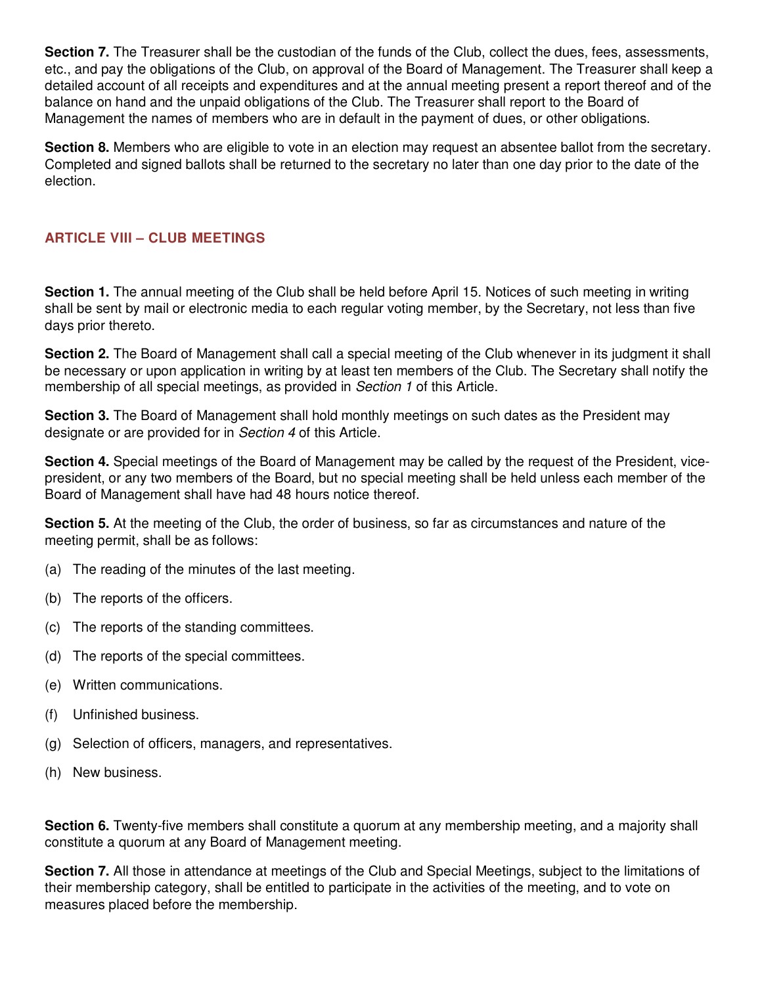**Section 7.** The Treasurer shall be the custodian of the funds of the Club, collect the dues, fees, assessments, etc., and pay the obligations of the Club, on approval of the Board of Management. The Treasurer shall keep a detailed account of all receipts and expenditures and at the annual meeting present a report thereof and of the balance on hand and the unpaid obligations of the Club. The Treasurer shall report to the Board of Management the names of members who are in default in the payment of dues, or other obligations.

**Section 8.** Members who are eligible to vote in an election may request an absentee ballot from the secretary. Completed and signed ballots shall be returned to the secretary no later than one day prior to the date of the election.

# **ARTICLE VIII – CLUB MEETINGS**

**Section 1.** The annual meeting of the Club shall be held before April 15. Notices of such meeting in writing shall be sent by mail or electronic media to each regular voting member, by the Secretary, not less than five days prior thereto.

**Section 2.** The Board of Management shall call a special meeting of the Club whenever in its judgment it shall be necessary or upon application in writing by at least ten members of the Club. The Secretary shall notify the membership of all special meetings, as provided in Section 1 of this Article.

**Section 3.** The Board of Management shall hold monthly meetings on such dates as the President may designate or are provided for in Section 4 of this Article.

**Section 4.** Special meetings of the Board of Management may be called by the request of the President, vicepresident, or any two members of the Board, but no special meeting shall be held unless each member of the Board of Management shall have had 48 hours notice thereof.

**Section 5.** At the meeting of the Club, the order of business, so far as circumstances and nature of the meeting permit, shall be as follows:

- (a) The reading of the minutes of the last meeting.
- (b) The reports of the officers.
- (c) The reports of the standing committees.
- (d) The reports of the special committees.
- (e) Written communications.
- (f) Unfinished business.
- (g) Selection of officers, managers, and representatives.
- (h) New business.

**Section 6.** Twenty-five members shall constitute a quorum at any membership meeting, and a majority shall constitute a quorum at any Board of Management meeting.

**Section 7.** All those in attendance at meetings of the Club and Special Meetings, subject to the limitations of their membership category, shall be entitled to participate in the activities of the meeting, and to vote on measures placed before the membership.